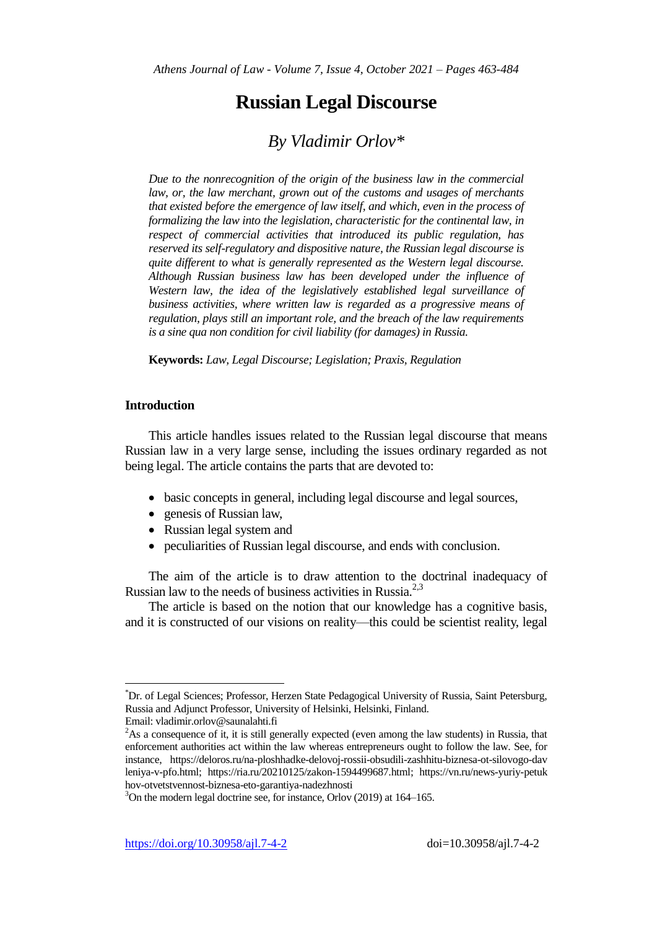# **Russian Legal Discourse**

## *By Vladimir Orlov\**

*Due to the nonrecognition of the origin of the business law in the commercial*  law, or, the law merchant, grown out of the customs and usages of merchants *that existed before the emergence of law itself, and which, even in the process of formalizing the law into the legislation, characteristic for the continental law, in respect of commercial activities that introduced its public regulation, has reserved its self-regulatory and dispositive nature, the Russian legal discourse is quite different to what is generally represented as the Western legal discourse. Although Russian business law has been developed under the influence of Western law, the idea of the legislatively established legal surveillance of business activities, where written law is regarded as a progressive means of regulation, plays still an important role, and the breach of the law requirements is a sine qua non condition for civil liability (for damages) in Russia.*

**Keywords:** *Law, Legal Discourse; Legislation; Praxis, Regulation*

## **Introduction**

This article handles issues related to the Russian legal discourse that means Russian law in a very large sense, including the issues ordinary regarded as not being legal. The article contains the parts that are devoted to:

- basic concepts in general, including legal discourse and legal sources,
- genesis of Russian law,
- Russian legal system and
- peculiarities of Russian legal discourse, and ends with conclusion.

The aim of the article is to draw attention to the doctrinal inadequacy of Russian law to the needs of business activities in Russia.<sup>2,3</sup>

The article is based on the notion that our knowledge has a cognitive basis, and it is constructed of our visions on reality—this could be scientist reality, legal

<sup>\*</sup>Dr. of Legal Sciences; Professor, Herzen State Pedagogical University of Russia, Saint Petersburg, Russia and Adjunct Professor, University of Helsinki, Helsinki, Finland.

Email: vladimir.orlov@saunalahti.fi

 ${}^{2}$ As a consequence of it, it is still generally expected (even among the law students) in Russia, that enforcement authorities act within the law whereas entrepreneurs ought to follow the law. See, for instance, https://deloros.ru/na-ploshhadke-delovoj-rossii-obsudili-zashhitu-biznesa-ot-silovogo-dav leniya-v-pfo.html; https://ria.ru/20210125/zakon-1594499687.html; https://vn.ru/news-yuriy-petuk hov-otvetstvennost-biznesa-eto-garantiya-nadezhnosti

 $3$ On the modern legal doctrine see, for instance, Orlov (2019) at 164–165.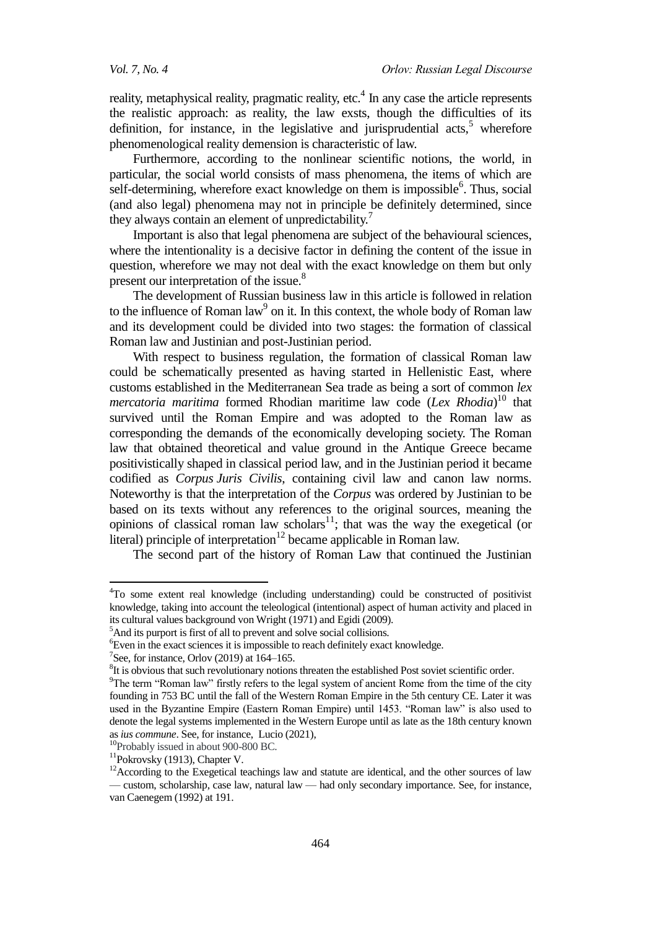reality, metaphysical reality, pragmatic reality, etc.<sup>4</sup> In any case the article represents the realistic approach: as reality, the law exsts, though the difficulties of its definition, for instance, in the legislative and jurisprudential  $\arcsin 5$  wherefore phenomenological reality demension is characteristic of law.

Furthermore, according to the nonlinear scientific notions, the world, in particular, the social world consists of mass phenomena, the items of which are self-determining, wherefore exact knowledge on them is impossible<sup>6</sup>. Thus, social (and also legal) phenomena may not in principle be definitely determined, since they always contain an element of unpredictability.<sup>7</sup>

Important is also that legal phenomena are subject of the behavioural sciences, where the intentionality is a decisive factor in defining the content of the issue in question, wherefore we may not deal with the exact knowledge on them but only present our interpretation of the issue.<sup>8</sup>

The development of Russian business law in this article is followed in relation to the influence of Roman law<sup>9</sup> on it. In this context, the whole body of Roman law and its development could be divided into two stages: the formation of classical Roman law and Justinian and post-Justinian period.

With respect to business regulation, the formation of classical Roman law could be schematically presented as having started in Hellenistic East, where customs established in the Mediterranean Sea trade as being a sort of common *lex mercatoria maritima* formed Rhodian maritime law code (*Lex Rhodia*) <sup>10</sup> that survived until the Roman Empire and was adopted to the Roman law as corresponding the demands of the economically developing society. The Roman law that obtained theoretical and value ground in the Antique Greece became positivistically shaped in classical period law, and in the Justinian period it became codified as *Corpus Juris Civilis*, containing civil law and canon law norms. Noteworthy is that the interpretation of the *Corpus* was ordered by Justinian to be based on its texts without any references to the original sources, meaning the opinions of classical roman law scholars<sup>11</sup>; that was the way the exegetical (or literal) principle of interpretation<sup>12</sup> became applicable in Roman law.

The second part of the history of Roman Law that continued the Justinian

<sup>10</sup>Probably issued in about 900-800 BC.

<sup>4</sup>To some extent real knowledge (including understanding) could be constructed of positivist knowledge, taking into account the teleological (intentional) aspect of human activity and placed in its cultural values background von Wright (1971) and Egidi (2009).

<sup>&</sup>lt;sup>5</sup>And its purport is first of all to prevent and solve social collisions.

<sup>&</sup>lt;sup>6</sup>Even in the exact sciences it is impossible to reach definitely exact knowledge.

<sup>&</sup>lt;sup>7</sup>See, for instance, Orlov (2019) at  $164-165$ .

 ${}^{8}$ It is obvious that such revolutionary notions threaten the established Post soviet scientific order.

 $9$ The term "Roman law" firstly refers to the legal system of ancient Rome from the time of the city founding in 753 BC until the fall of the Western Roman Empire in the 5th century CE. Later it was used in the Byzantine Empire (Eastern Roman Empire) until 1453. "Roman law" is also used to denote the legal systems implemented in the Western Europe until as late as the 18th century known as *ius commune*. See, for instance, Lucio (2021),

<sup>&</sup>lt;sup>11</sup>Pokrovsky (1913), Chapter V.

 $12$ According to the Exegetical teachings law and statute are identical, and the other sources of law — custom, scholarship, case law, natural law — had only secondary importance. See, for instance, van Caenegem (1992) at 191.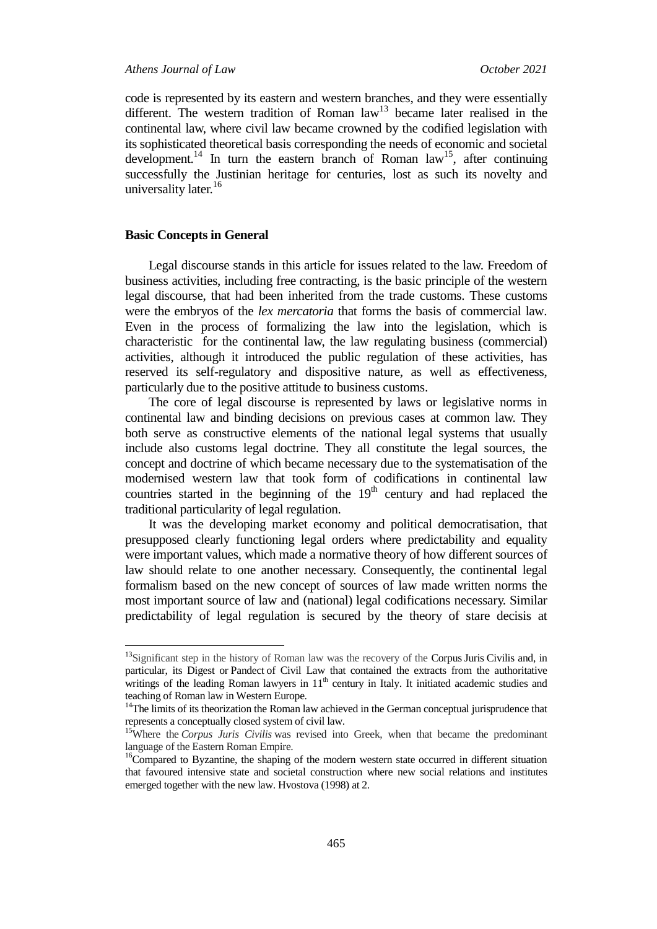code is represented by its eastern and western branches, and they were essentially different. The western tradition of Roman  $law<sup>13</sup>$  became later realised in the continental law, where civil law became crowned by the codified legislation with its sophisticated theoretical basis corresponding the needs of economic and societal development.<sup>14</sup> In turn the eastern branch of Roman law<sup>15</sup>, after continuing successfully the Justinian heritage for centuries, lost as such its novelty and universality later. $16$ 

#### **Basic Concepts in General**

 $\overline{a}$ 

Legal discourse stands in this article for issues related to the law. Freedom of business activities, including free contracting, is the basic principle of the western legal discourse, that had been inherited from the trade customs. These customs were the embryos of the *lex mercatoria* that forms the basis of commercial law*.*  Even in the process of formalizing the law into the legislation, which is characteristic for the continental law, the law regulating business (commercial) activities, although it introduced the public regulation of these activities, has reserved its self-regulatory and dispositive nature, as well as effectiveness, particularly due to the positive attitude to business customs.

The core of legal discourse is represented by laws or legislative norms in continental law and binding decisions on previous cases at common law. They both serve as constructive elements of the national legal systems that usually include also customs legal doctrine. They all constitute the legal sources, the concept and doctrine of which became necessary due to the systematisation of the modernised western law that took form of codifications in continental law countries started in the beginning of the  $19<sup>th</sup>$  century and had replaced the traditional particularity of legal regulation.

It was the developing market economy and political democratisation, that presupposed clearly functioning legal orders where predictability and equality were important values, which made a normative theory of how different sources of law should relate to one another necessary. Consequently, the continental legal formalism based on the new concept of sources of law made written norms the most important source of law and (national) legal codifications necessary. Similar predictability of legal regulation is secured by the theory of stare decisis at

<sup>&</sup>lt;sup>13</sup>Significant step in the history of Roman law was the recovery of the Corpus Juris Civilis and, in particular, its Digest or Pandect of Civil Law that contained the extracts from the authoritative writings of the leading Roman lawyers in  $11<sup>th</sup>$  century in Italy. It initiated academic studies and teaching of Roman law in Western Europe.

<sup>&</sup>lt;sup>14</sup>The limits of its theorization the Roman law achieved in the German conceptual jurisprudence that represents a conceptually closed system of civil law.

<sup>&</sup>lt;sup>15</sup>Where the *Corpus Juris Civilis* was revised into Greek, when that became the predominant language of the Eastern Roman Empire.

<sup>&</sup>lt;sup>16</sup>Compared to Byzantine, the shaping of the modern western state occurred in different situation that favoured intensive state and societal construction where new social relations and institutes emerged together with the new law. Hvostova (1998) at 2.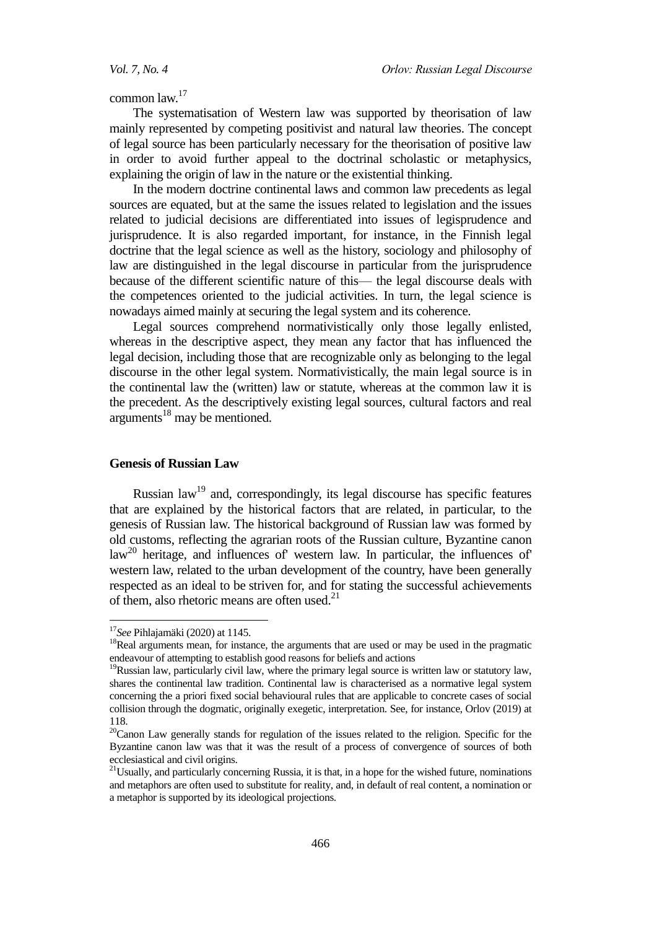common law.<sup>17</sup>

The systematisation of Western law was supported by theorisation of law mainly represented by competing positivist and natural law theories. The concept of legal source has been particularly necessary for the theorisation of positive law in order to avoid further appeal to the doctrinal scholastic or metaphysics, explaining the origin of law in the nature or the existential thinking.

In the modern doctrine continental laws and common law precedents as legal sources are equated, but at the same the issues related to legislation and the issues related to judicial decisions are differentiated into issues of legisprudence and jurisprudence. It is also regarded important, for instance, in the Finnish legal doctrine that the legal science as well as the history, sociology and philosophy of law are distinguished in the legal discourse in particular from the jurisprudence because of the different scientific nature of this— the legal discourse deals with the competences oriented to the judicial activities. In turn, the legal science is nowadays aimed mainly at securing the legal system and its coherence.

Legal sources comprehend normativistically only those legally enlisted, whereas in the descriptive aspect, they mean any factor that has influenced the legal decision, including those that are recognizable only as belonging to the legal discourse in the other legal system. Normativistically, the main legal source is in the continental law the (written) law or statute, whereas at the common law it is the precedent. As the descriptively existing legal sources, cultural factors and real  $arguments$ <sup>18</sup> may be mentioned.

### **Genesis of Russian Law**

Russian law<sup>19</sup> and, correspondingly, its legal discourse has specific features that are explained by the historical factors that are related, in particular, to the genesis of Russian law. The historical background of Russian law was formed by old customs, reflecting the agrarian roots of the Russian culture, Byzantine canon  $law<sup>20</sup>$  heritage, and influences of' western law. In particular, the influences of' western law, related to the urban development of the country, have been generally respected as an ideal to be striven for, and for stating the successful achievements of them, also rhetoric means are often used. $^{21}$ 

<sup>17</sup>*See* Pihlajamäki (2020) at 1145.

<sup>&</sup>lt;sup>18</sup>Real arguments mean, for instance, the arguments that are used or may be used in the pragmatic endeavour of attempting to establish good reasons for beliefs and actions

 $19$ Russian law, particularly civil law, where the primary legal source is written law or statutory law, shares the continental law tradition. Continental law is characterised as a normative legal system concerning the a priori fixed social behavioural rules that are applicable to concrete cases of social collision through the dogmatic, originally exegetic, interpretation. See, for instance, Orlov (2019) at 118.

<sup>&</sup>lt;sup>20</sup>Canon Law generally stands for regulation of the issues related to the religion. Specific for the Byzantine canon law was that it was the result of a process of convergence of sources of both ecclesiastical and civil origins.

<sup>&</sup>lt;sup>21</sup>Usually, and particularly concerning Russia, it is that, in a hope for the wished future, nominations and metaphors are often used to substitute for reality, and, in default of real content, a nomination or a metaphor is supported by its ideological projections.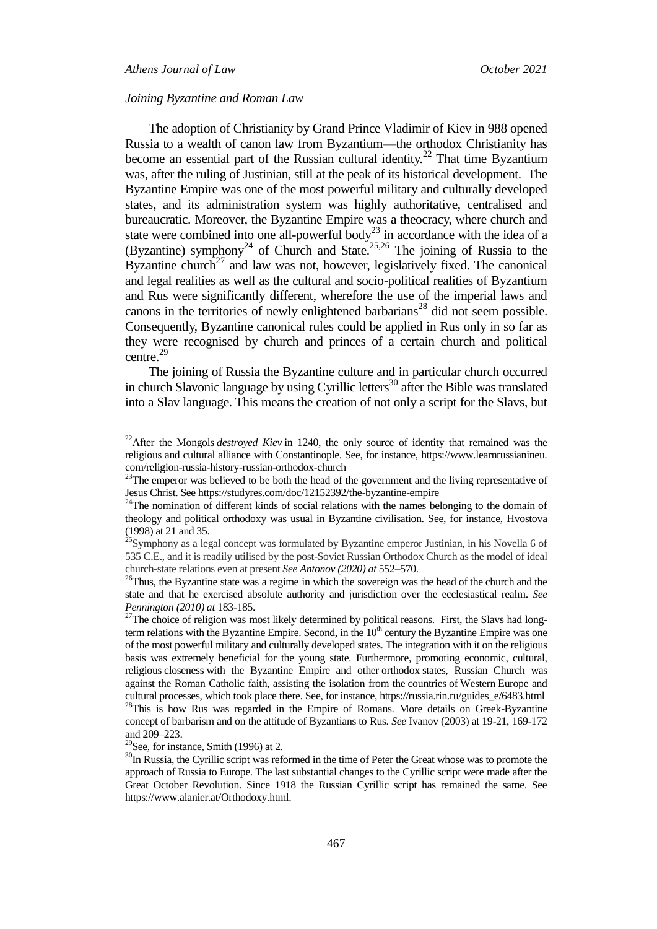## *Athens Journal of Law October 2021*

 $\overline{a}$ 

#### *Joining Byzantine and Roman Law*

The adoption of Christianity by Grand Prince Vladimir of Kiev in 988 opened Russia to a wealth of canon law from Byzantium—the orthodox Christianity has become an essential part of the Russian cultural identity.<sup>22</sup> That time Byzantium was, after the ruling of Justinian, still at the peak of its historical development. The Byzantine Empire was one of the most powerful military and culturally developed states, and its administration system was highly authoritative, centralised and bureaucratic. Moreover, the Byzantine Empire was a theocracy, where church and state were combined into one all-powerful body<sup>23</sup> in accordance with the idea of a (Byzantine) symphony<sup>24</sup> of Church and State.<sup>25,26</sup> The joining of Russia to the Byzantine church<sup>27</sup> and law was not, however, legislatively fixed. The canonical and legal realities as well as the cultural and socio-political realities of Byzantium and Rus were significantly different, wherefore the use of the imperial laws and canons in the territories of newly enlightened barbarians<sup>28</sup> did not seem possible. Consequently, Byzantine canonical rules could be applied in Rus only in so far as they were recognised by church and princes of a certain church and political centre.<sup>29</sup>

The joining of Russia the Byzantine culture and in particular church occurred in church Slavonic language by using Cyrillic letters<sup>30</sup> after the Bible was translated into a Slav language. This means the creation of not only a script for the Slavs, but

<sup>&</sup>lt;sup>22</sup>After the Mongols *destroyed Kiev* in 1240, the only source of identity that remained was the religious and cultural alliance with Constantinople. See, for instance, https://www.learnrussianineu. com/religion-russia-history-russian-orthodox-church

 $23$ The emperor was believed to be both the head of the government and the living representative of Jesus Christ. See https://studyres.com/doc/12152392/the-byzantine-empire

<sup>&</sup>lt;sup>24</sup>The nomination of different kinds of social relations with the names belonging to the domain of theology and political orthodoxy was usual in Byzantine civilisation. See, for instance, Hvostova (1998) at 21 and 35.

<sup>&</sup>lt;sup>25</sup>Symphony as a legal concept was formulated by Byzantine emperor Justinian, in his Novella 6 of 535 C.E., and it is readily utilised by the post-Soviet Russian Orthodox Church as the model of ideal church-state relations even at present *See Antonov (2020) at* 552–570.

<sup>&</sup>lt;sup>26</sup>Thus, the Byzantine state was a regime in which the sovereign was the head of the church and the state and that he exercised absolute authority and jurisdiction over the ecclesiastical realm. *See Pennington (2010) at* 183-185.

<sup>&</sup>lt;sup>27</sup>The choice of religion was most likely determined by political reasons. First, the Slavs had longterm relations with the Byzantine Empire. Second, in the  $10<sup>th</sup>$  century the Byzantine Empire was one of the most powerful military and culturally developed states. The integration with it on the religious basis was extremely beneficial for the young state. Furthermore, promoting economic, cultural, religious closeness with the Byzantine Empire and other orthodox states, Russian Church was against the Roman Catholic faith, assisting the isolation from the countries of Western Europe and cultural processes, which took place there. See, for instance, https://russia.rin.ru/guides\_e/6483.html <sup>28</sup>This is how Rus was regarded in the Empire of Romans. More details on Greek-Byzantine concept of barbarism and on the attitude of Byzantians to Rus. *See* Ivanov (2003) at 19-21, 169-172 and 209–223.

 $29$ See, for instance, Smith (1996) at 2.

<sup>&</sup>lt;sup>30</sup>In Russia, the Cyrillic script was reformed in the time of Peter the Great whose was to promote the approach of Russia to Europe. The last substantial changes to the Cyrillic script were made after the Great October Revolution. Since 1918 the Russian Cyrillic script has remained the same. See https://www.alanier.at/Orthodoxy.html.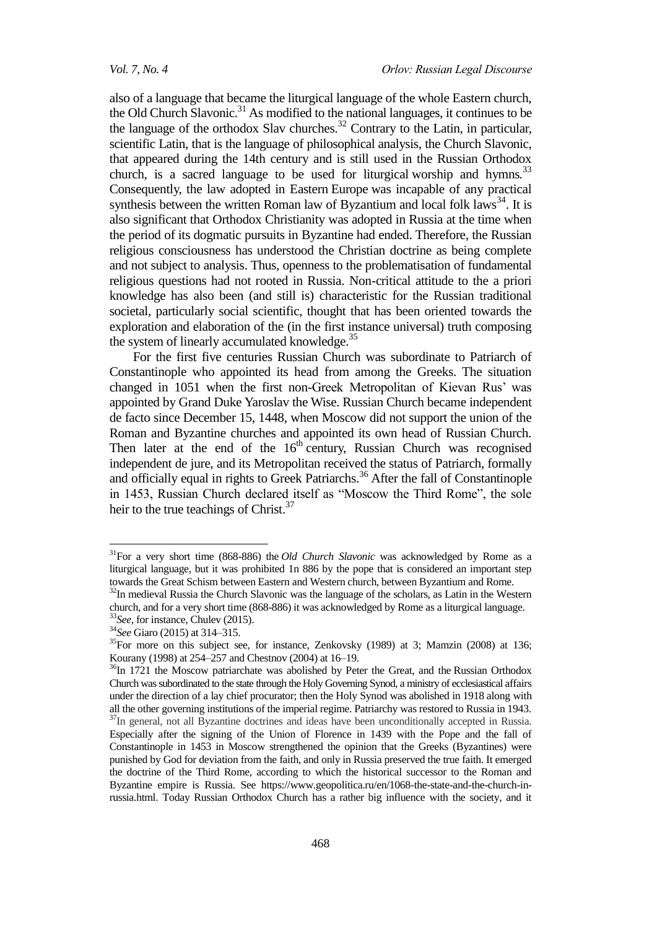also of a language that became the liturgical language of the whole Eastern church, the Old Church Slavonic.<sup>31</sup> As modified to the national languages, it continues to be the language of the orthodox Slav churches.<sup>32</sup> Contrary to the Latin, in particular, scientific Latin, that is the language of philosophical analysis, the Church Slavonic, that appeared during the 14th century and is still used in the Russian Orthodox church, is a sacred language to be used for liturgical worship and hymns*.* 33 Consequently, the law adopted in Eastern Europe was incapable of any practical synthesis between the written Roman law of Byzantium and local folk laws<sup>34</sup>. It is also significant that Orthodox Christianity was adopted in Russia at the time when the period of its dogmatic pursuits in Byzantine had ended. Therefore, the Russian religious consciousness has understood the Christian doctrine as being complete and not subject to analysis. Thus, openness to the problematisation of fundamental religious questions had not rooted in Russia. Non-critical attitude to the a priori knowledge has also been (and still is) characteristic for the Russian traditional societal, particularly social scientific, thought that has been oriented towards the exploration and elaboration of the (in the first instance universal) truth composing the system of linearly accumulated knowledge.<sup>35</sup>

For the first five centuries Russian Church was subordinate to Patriarch of Constantinople who appointed its head from among the Greeks. The situation changed in 1051 when the first non-Greek Metropolitan of Kievan Rus' was appointed by Grand Duke Yaroslav the Wise. Russian Church became independent de facto since December 15, 1448, when Moscow did not support the union of the Roman and Byzantine churches and appointed its own head of Russian Church. Then later at the end of the  $16<sup>th</sup>$  century, Russian Church was recognised independent de jure, and its Metropolitan received the status of Patriarch, formally and officially equal in rights to Greek Patriarchs.<sup>36</sup> After the fall of Constantinople in 1453, Russian Church declared itself as "Moscow the Third Rome", the sole heir to the true teachings of Christ.<sup>37</sup>

<sup>31</sup>For a very short time (868-886) the *Old Church Slavonic* was acknowledged by Rome as a liturgical language, but it was prohibited 1n 886 by the pope that is considered an important step towards the Great Schism between Eastern and Western church, between Byzantium and Rome.

<sup>&</sup>lt;sup>32</sup>In medieval Russia the Church Slavonic was the language of the scholars, as Latin in the Western church, and for a very short time (868-886) it was acknowledged by Rome as a liturgical language. <sup>33</sup>*See*, for instance, Chulev (2015).

<sup>34</sup>*See* Giaro (2015) at 314–315.

<sup>&</sup>lt;sup>35</sup>For more on this subject see, for instance, Zenkovsky (1989) at 3; Mamzin (2008) at 136; Kourany (1998) at 254–257 and Chestnov (2004) at 16–19.

<sup>&</sup>lt;sup>36</sup>In 1721 the Moscow patriarchate was abolished by Peter the Great, and the Russian Orthodox Church was subordinated to the state through the Holy Governing Synod, a ministry of ecclesiastical affairs under the direction of a lay chief procurator; then the Holy Synod was abolished in 1918 along with all the other governing institutions of the imperial regime. Patriarchy was restored to Russia in 1943. <sup>37</sup>In general, not all Byzantine doctrines and ideas have been unconditionally accepted in Russia. Especially after the signing of the Union of Florence in 1439 with the Pope and the fall of Constantinople in 1453 in Moscow strengthened the opinion that the Greeks (Byzantines) were punished by God for deviation from the faith, and only in Russia preserved the true faith. It emerged the doctrine of the Third Rome, according to which the historical successor to the Roman and Byzantine empire is Russia. See https://www.geopolitica.ru/en/1068-the-state-and-the-church-inrussia.html. Today Russian Orthodox Church has a rather big influence with the society, and it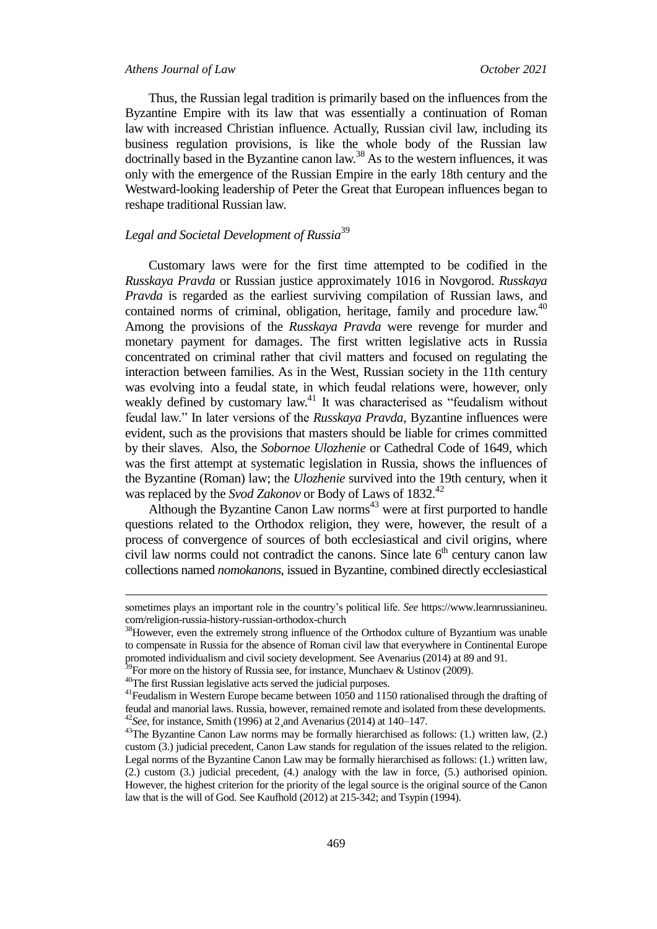#### *Athens Journal of Law October 2021*

Thus, the Russian legal tradition is primarily based on the influences from the Byzantine Empire with its law that was essentially a continuation of Roman law with increased Christian influence. Actually, Russian civil law, including its business regulation provisions, is like the whole body of the Russian law doctrinally based in the Byzantine canon law.<sup>38</sup> As to the western influences, it was only with the emergence of the Russian Empire in the early 18th century and the Westward-looking leadership of Peter the Great that European influences began to reshape traditional Russian law.

## *Legal and Societal Development of Russia*<sup>39</sup>

Customary laws were for the first time attempted to be codified in the *Russkaya Pravda* or Russian justice approximately 1016 in Novgorod. *Russkaya Pravda* is regarded as the earliest surviving compilation of Russian laws, and contained norms of criminal, obligation, heritage, family and procedure law.<sup>40</sup> Among the provisions of the *Russkaya Pravda* were revenge for murder and monetary payment for damages. The first written legislative acts in Russia concentrated on criminal rather that civil matters and focused on regulating the interaction between families. As in the West, Russian society in the 11th century was evolving into a feudal state, in which feudal relations were, however, only weakly defined by customary law.<sup>41</sup> It was characterised as "feudalism without feudal law.‖ In later versions of the *Russkaya Pravda*, Byzantine influences were evident, such as the provisions that masters should be liable for crimes committed by their slaves. Also, the *Sobornoe Ulozhenie* or Cathedral Code of 1649, which was the first attempt at systematic legislation in Russia, shows the influences of the Byzantine (Roman) law; the *Ulozhenie* survived into the 19th century, when it was replaced by the *Svod Zakonov* or Body of Laws of 1832.<sup>42</sup>

Although the Byzantine Canon Law norms<sup>43</sup> were at first purported to handle questions related to the Orthodox religion, they were, however, the result of a process of convergence of sources of both ecclesiastical and civil origins, where civil law norms could not contradict the canons. Since late  $6<sup>th</sup>$  century canon law collections named *nomokanons*, issued in Byzantine, combined directly ecclesiastical

**.** 

sometimes plays an important role in the country's political life. *See* https://www.learnrussianineu. com/religion-russia-history-russian-orthodox-church

<sup>&</sup>lt;sup>38</sup>However, even the extremely strong influence of the Orthodox culture of Byzantium was unable to compensate in Russia for the absence of Roman civil law that everywhere in Continental Europe promoted individualism and civil society development. See Avenarius (2014) at 89 and 91.

<sup>&</sup>lt;sup>39</sup>For more on the history of Russia see, for instance, Munchaev & Ustinov (2009).

<sup>40</sup>The first Russian legislative acts served the judicial purposes.

<sup>&</sup>lt;sup>41</sup> Feudalism in Western Europe became between 1050 and 1150 rationalised through the drafting of feudal and manorial laws. Russia, however, remained remote and isolated from these developments. <sup>42</sup>*See*, for instance, Smith (1996) at 2¸and Avenarius (2014) at 140–147.

 $43$ The Byzantine Canon Law norms may be formally hierarchised as follows: (1.) written law, (2.) custom (3.) judicial precedent, Canon Law stands for regulation of the issues related to the religion. Legal norms of the Byzantine Canon Law may be formally hierarchised as follows: (1.) written law, (2.) custom (3.) judicial precedent, (4.) analogy with the law in force, (5.) authorised opinion. However, the highest criterion for the priority of the legal source is the original source of the Canon law that is the will of God. See Kaufhold (2012) at 215-342; and Tsypin (1994).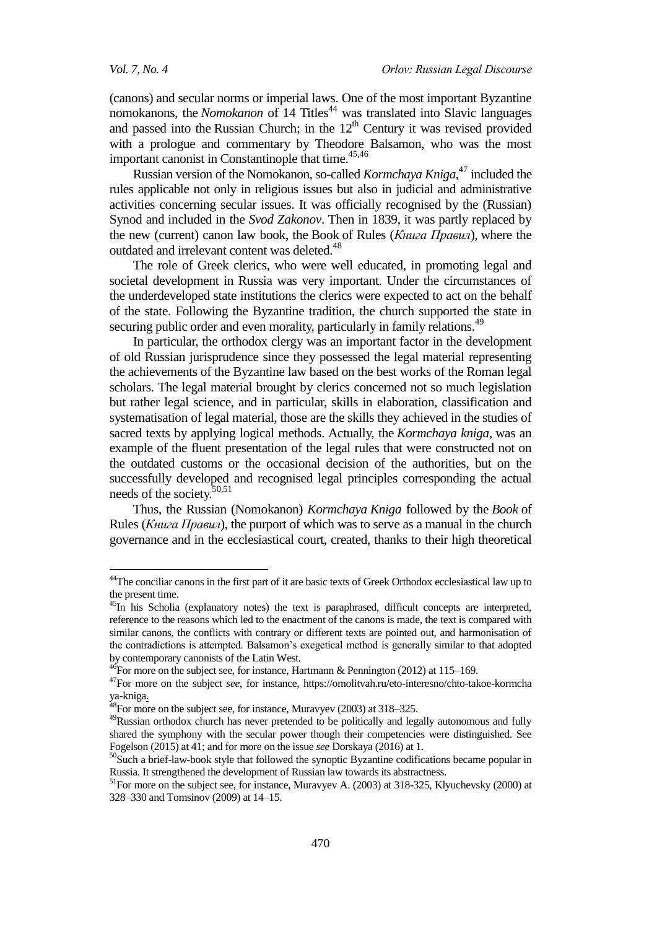1

(canons) and secular norms or imperial laws. One of the most important Byzantine nomokanons, the *Nomokanon* of 14 Titles<sup>44</sup> was translated into Slavic languages and passed into the [Russian Church;](https://orthodoxwiki.org/Church_of_Russia) in the 12<sup>th</sup> Century it was revised provided with a prologue and commentary by Theodore Balsamon, who was the most important canonist in Constantinople that time. 45,46

Russian version of the Nomokanon, so-called *Kormchaya Kniga*, <sup>47</sup> included the rules applicable not only in religious issues but also in judicial and administrative activities concerning secular issues. It was officially recognised by the (Russian) Synod and included in the *Svod Zakonov*. Then in 1839, it was partly replaced by the new (current) canon law book, the Book of Rules (*Книга Правил*), where the outdated and irrelevant content was deleted.<sup>48</sup>

The role of Greek clerics, who were well educated, in promoting legal and societal development in Russia was very important. Under the circumstances of the underdeveloped state institutions the clerics were expected to act on the behalf of the state. Following the Byzantine tradition, the church supported the state in securing public order and even morality, particularly in family relations.<sup>49</sup>

In particular, the orthodox clergy was an important factor in the development of old Russian jurisprudence since they possessed the legal material representing the achievements of the Byzantine law based on the best works of the Roman legal scholars. The legal material brought by clerics concerned not so much legislation but rather legal science, and in particular, skills in elaboration, classification and systematisation of legal material, those are the skills they achieved in the studies of sacred texts by applying logical methods. Actually, the *Kormchaya kniga*, was an example of the fluent presentation of the legal rules that were constructed not on the outdated customs or the occasional decision of the authorities, but on the successfully developed and recognised legal principles corresponding the actual needs of the society. 50,51

Thus, the Russian (Nomokanon) *Kormchaya Kniga* followed by the *Book* of Rules (*Книга Правил*), the purport of which was to serve as a manual in the church governance and in the ecclesiastical court, created, thanks to their high theoretical

<sup>&</sup>lt;sup>44</sup>The conciliar canons in the first part of it are basic texts of Greek Orthodox ecclesiastical law up to the present time.

<sup>&</sup>lt;sup>45</sup>In his Scholia (explanatory notes) the text is paraphrased, difficult concepts are interpreted, reference to the reasons which led to the enactment of the canons is made, the text is compared with similar canons, the conflicts with contrary or different texts are pointed out, and harmonisation of the contradictions is attempted. Balsamon's exegetical method is generally similar to that adopted by contemporary canonists of the Latin West.

 $^{46}$ For more on the subject see, for instance, Hartmann & Pennington (2012) at 115–169.

<sup>47</sup>For more on the subject *see*, for instance, https://omolitvah.ru/eto-interesno/chto-takoe-kormcha ya-kniga.

 $^{48}$ For more on the subject see, for instance, Muravyev (2003) at 318–325.

<sup>&</sup>lt;sup>49</sup>Russian orthodox church has never pretended to be politically and legally autonomous and fully shared the symphony with the secular power though their competencies were distinguished. See Fogelson (2015) at 41; and for more on the issue *see* Dorskaya (2016) at 1.

<sup>&</sup>lt;sup>50</sup>Such a brief-law-book style that followed the synoptic Byzantine codifications became popular in Russia. It strengthened the development of Russian law towards its abstractness.

<sup>&</sup>lt;sup>51</sup>For more on the subject see, for instance, Muravyev A. (2003) at 318-325, Klyuchevsky (2000) at 328–330 and Tomsinov (2009) at 14–15.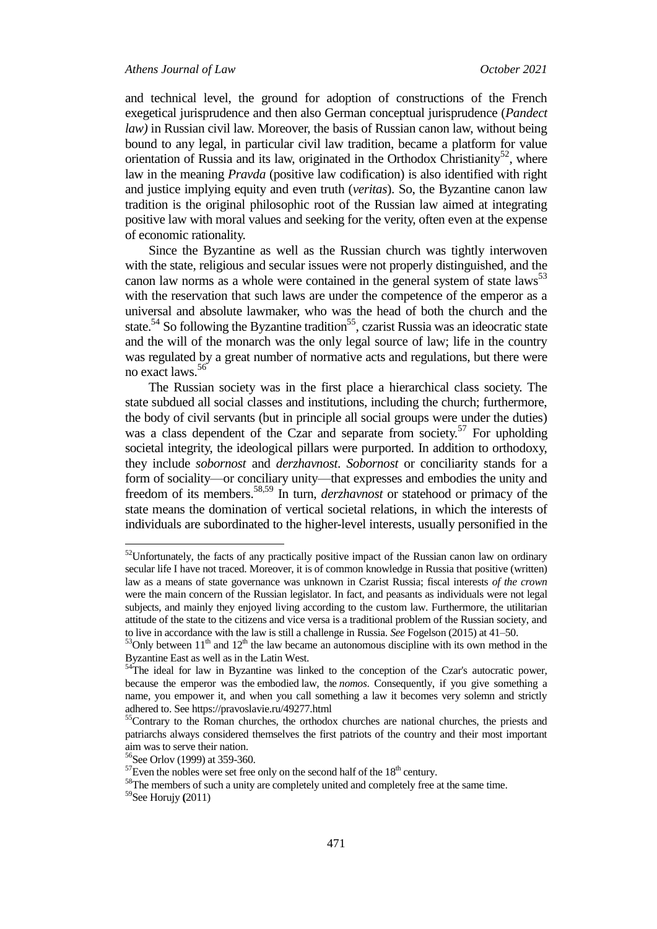and technical level, the ground for adoption of constructions of the French exegetical jurisprudence and then also German conceptual jurisprudence (*Pandect law)* in Russian civil law. Moreover, the basis of Russian canon law, without being bound to any legal, in particular civil law tradition, became a platform for value orientation of Russia and its law, originated in the Orthodox Christianity<sup>52</sup>, where law in the meaning *Pravda* (positive law codification) is also identified with right and justice implying equity and even truth (*veritas*). So, the Byzantine canon law tradition is the original philosophic root of the Russian law aimed at integrating positive law with moral values and seeking for the verity, often even at the expense of economic rationality.

Since the Byzantine as well as the Russian church was tightly interwoven with the state, religious and secular issues were not properly distinguished, and the canon law norms as a whole were contained in the general system of state laws<sup>53</sup> with the reservation that such laws are under the competence of the emperor as a universal and absolute lawmaker, who was the head of both the church and the state.<sup>54</sup> So following the Byzantine tradition<sup>55</sup>, czarist Russia was an ideocratic state and the will of the monarch was the only legal source of law; life in the country was regulated by a great number of normative acts and regulations, but there were no exact laws.<sup>56</sup>

The Russian society was in the first place a hierarchical class society. The state subdued all social classes and institutions, including the church; furthermore, the body of civil servants (but in principle all social groups were under the duties) was a class dependent of the Czar and separate from society.<sup>57</sup> For upholding societal integrity, the ideological pillars were purported. In addition to orthodoxy, they include *sobornost* and *derzhavnost*. *Sobornost* or conciliarity stands for a form of sociality—or conciliary unity—that expresses and embodies the unity and freedom of its members. 58,59 In turn, *derzhavnost* or statehood or primacy of the state means the domination of vertical societal relations, in which the interests of individuals are subordinated to the higher-level interests, usually personified in the

 $52$ Unfortunately, the facts of any practically positive impact of the Russian canon law on ordinary secular life I have not traced. Moreover, it is of common knowledge in Russia that positive (written) law as a means of state governance was unknown in Czarist Russia; fiscal interests *of the crown* were the main concern of the Russian legislator. In fact, and peasants as individuals were not legal subjects, and mainly they enjoyed living according to the custom law. Furthermore, the utilitarian attitude of the state to the citizens and vice versa is a traditional problem of the Russian society, and to live in accordance with the law is still a challenge in Russia. *See* Fogelson (2015) at 41–50.

 $53$ Only between  $11<sup>th</sup>$  and  $12<sup>th</sup>$  the law became an autonomous discipline with its own method in the Byzantine East as well as in the Latin West.

<sup>&</sup>lt;sup>54</sup>The ideal for law in Byzantine was linked to the conception of the Czar's autocratic power, because the emperor was the embodied law, the *nomos*. Consequently, if you give something a name, you empower it, and when you call something a law it becomes very solemn and strictly adhered to. See https://pravoslavie.ru/49277.html

<sup>&</sup>lt;sup>55</sup>Contrary to the Roman churches, the orthodox churches are national churches, the priests and patriarchs always considered themselves the first patriots of the country and their most important aim was to serve their nation.

<sup>56</sup>See Orlov (1999) at 359-360.

 $57$ Even the nobles were set free only on the second half of the  $18<sup>th</sup>$  century.

<sup>&</sup>lt;sup>58</sup>The members of such a unity are completely united and completely free at the same time.

<sup>59</sup>See Horujy **(**2011)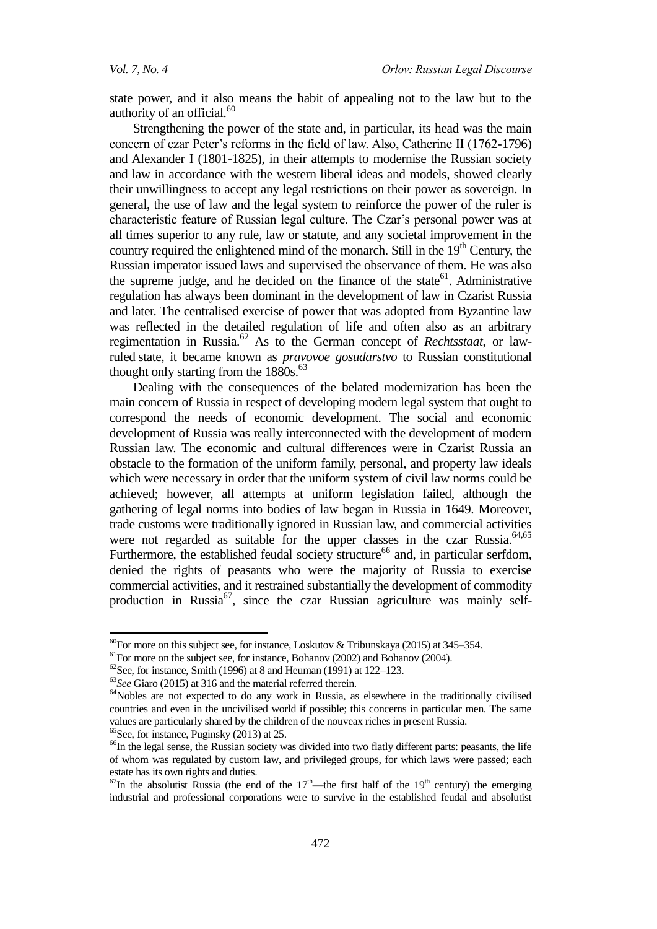state power, and it also means the habit of appealing not to the law but to the authority of an official. $60$ 

Strengthening the power of the state and, in particular, its head was the main concern of czar Peter's reforms in the field of law. Also, Catherine II (1762-1796) and Alexander I (1801-1825), in their attempts to modernise the Russian society and law in accordance with the western liberal ideas and models, showed clearly their unwillingness to accept any legal restrictions on their power as sovereign. In general, the use of law and the legal system to reinforce the power of the ruler is characteristic feature of Russian legal culture. The Czar's personal power was at all times superior to any rule, law or statute, and any societal improvement in the country required the enlightened mind of the monarch. Still in the  $19<sup>th</sup>$  Century, the Russian imperator issued laws and supervised the observance of them. He was also the supreme judge, and he decided on the finance of the state<sup>61</sup>. Administrative regulation has always been dominant in the development of law in Czarist Russia and later. The centralised exercise of power that was adopted from Byzantine law was reflected in the detailed regulation of life and often also as an arbitrary regimentation in Russia.<sup>62</sup> As to the German concept of *Rechtsstaat*, or lawruled state, it became known as *pravovoe gosudarstvo* to Russian constitutional thought only starting from the  $1880s^{63}$ 

Dealing with the consequences of the belated modernization has been the main concern of Russia in respect of developing modern legal system that ought to correspond the needs of economic development. The social and economic development of Russia was really interconnected with the development of modern Russian law. The economic and cultural differences were in Czarist Russia an obstacle to the formation of the uniform family, personal, and property law ideals which were necessary in order that the uniform system of civil law norms could be achieved; however, all attempts at uniform legislation failed, although the gathering of legal norms into bodies of law began in Russia in 1649. Moreover, trade customs were traditionally ignored in Russian law, and commercial activities were not regarded as suitable for the upper classes in the czar Russia.<sup>64,65</sup> Furthermore, the established feudal society structure<sup>66</sup> and, in particular serfdom, denied the rights of peasants who were the majority of Russia to exercise commercial activities, and it restrained substantially the development of commodity production in Russia<sup>67</sup>, since the czar Russian agriculture was mainly self-

 $65$ See, for instance, Puginsky (2013) at 25.

1

 $60$ For more on this subject see, for instance, Loskutov & Tribunskaya (2015) at 345–354.

<sup>&</sup>lt;sup>61</sup>For more on the subject see, for instance, Bohanov (2002) and Bohanov (2004).

 $62$ See, for instance, Smith (1996) at 8 and Heuman (1991) at 122–123.

<sup>63</sup>*See* Giaro (2015) at 316 and the material referred therein.

<sup>&</sup>lt;sup>64</sup>Nobles are not expected to do any work in Russia, as elsewhere in the traditionally civilised countries and even in the uncivilised world if possible; this concerns in particular men. The same values are particularly shared by the children of the nouveax riches in present Russia.

<sup>&</sup>lt;sup>66</sup>In the legal sense, the Russian society was divided into two flatly different parts: peasants, the life of whom was regulated by custom law, and privileged groups, for which laws were passed; each estate has its own rights and duties.

 $^{67}$ In the absolutist Russia (the end of the 17<sup>th</sup>—the first half of the 19<sup>th</sup> century) the emerging industrial and professional corporations were to survive in the established feudal and absolutist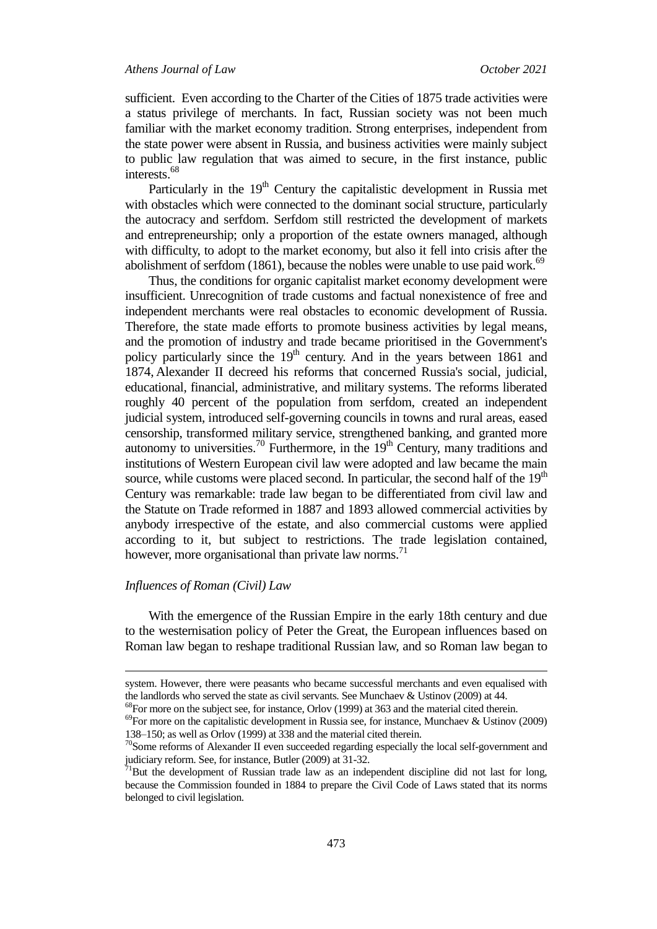sufficient. Even according to the Charter of the Cities of 1875 trade activities were a status privilege of merchants. In fact, Russian society was not been much familiar with the market economy tradition. Strong enterprises, independent from the state power were absent in Russia, and business activities were mainly subject to public law regulation that was aimed to secure, in the first instance, public interests.<sup>68</sup>

Particularly in the 19<sup>th</sup> Century the capitalistic development in Russia met with obstacles which were connected to the dominant social structure, particularly the autocracy and serfdom. Serfdom still restricted the development of markets and entrepreneurship; only a proportion of the estate owners managed, although with difficulty, to adopt to the market economy, but also it fell into crisis after the abolishment of serfdom  $(1861)$ , because the nobles were unable to use paid work.<sup>69</sup>

Thus, the conditions for organic capitalist market economy development were insufficient. Unrecognition of trade customs and factual nonexistence of free and independent merchants were real obstacles to economic development of Russia. Therefore, the state made efforts to promote business activities by legal means, and the promotion of industry and trade became prioritised in the Government's policy particularly since the 19<sup>th</sup> century. And in the years between 1861 and 1874, Alexander II decreed his reforms that concerned Russia's social, judicial, educational, financial, administrative, and military systems. The reforms liberated roughly 40 percent of the population from serfdom, created an independent judicial system, introduced self-governing councils in towns and rural areas, eased censorship, transformed military service, strengthened banking, and granted more autonomy to universities.<sup>70</sup> Furthermore, in the  $19<sup>th</sup>$  Century, many traditions and institutions of Western European civil law were adopted and law became the main source, while customs were placed second. In particular, the second half of the  $19<sup>th</sup>$ Century was remarkable: trade law began to be differentiated from civil law and the Statute on Trade reformed in 1887 and 1893 allowed commercial activities by anybody irrespective of the estate, and also commercial customs were applied according to it, but subject to restrictions. The trade legislation contained, however, more organisational than private law norms.<sup>71</sup>

## *Influences of Roman (Civil) Law*

**.** 

With the emergence of the Russian Empire in the early 18th century and due to the westernisation policy of Peter the Great, the European influences based on Roman law began to reshape traditional Russian law, and so Roman law began to

system. However, there were peasants who became successful merchants and even equalised with the landlords who served the state as civil servants. See Munchaev & Ustinov (2009) at 44.

 $^{68}$ For more on the subject see, for instance, Orlov (1999) at 363 and the material cited therein.

 $^{69}$ For more on the capitalistic development in Russia see, for instance, Munchaev & Ustinov (2009) 138–150; as well as Orlov (1999) at 338 and the material cited therein.

 $70$ Some reforms of Alexander II even succeeded regarding especially the local self-government and judiciary reform. See, for instance, Butler (2009) at 31-32.

 $71$ But the development of Russian trade law as an independent discipline did not last for long, because the Commission founded in 1884 to prepare the Civil Code of Laws stated that its norms belonged to civil legislation.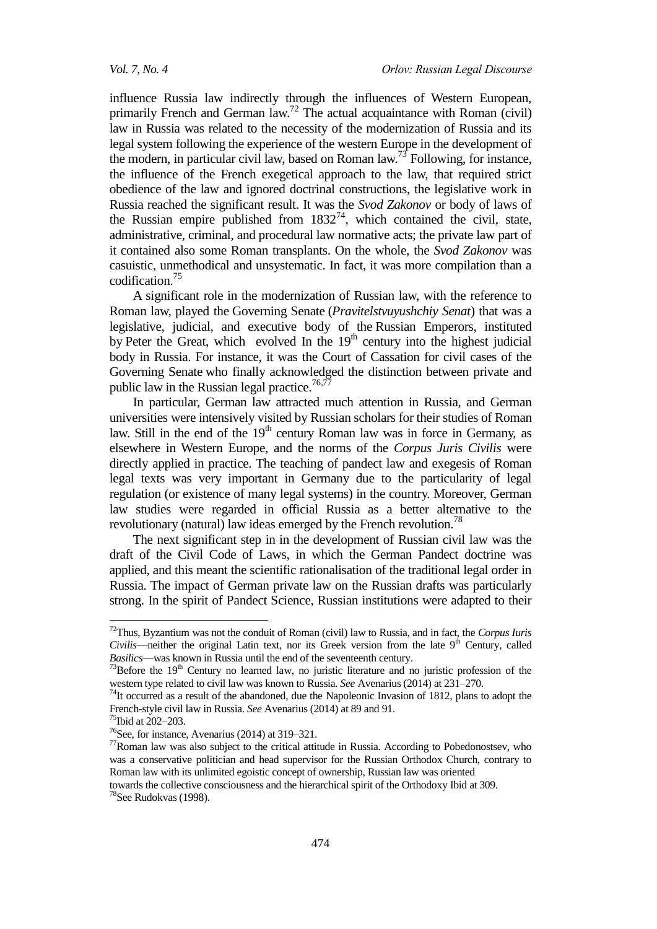influence Russia law indirectly through the influences of Western European, primarily French and German  $law<sup>72</sup>$  The actual acquaintance with Roman (civil) law in Russia was related to the necessity of the modernization of Russia and its legal system following the experience of the western Europe in the development of the modern, in particular civil law, based on Roman law.<sup>73</sup> Following, for instance, the influence of the French exegetical approach to the law, that required strict obedience of the law and ignored doctrinal constructions, the legislative work in Russia reached the significant result. It was the *Svod Zakonov* or body of laws of the Russian empire published from  $1832^{74}$ , which contained the civil, state, administrative, criminal, and procedural law normative acts; the private law part of it contained also some Roman transplants. On the whole, the *Svod Zakonov* was casuistic, unmethodical and unsystematic. In fact, it was more compilation than a codification.<sup>75</sup>

A significant role in the modernization of Russian law, with the reference to Roman law, played the Governing Senate (*Pravitelstvuyushchiy Senat*) that was a legislative, judicial, and executive body of the [Russian Emperors,](https://en.wikipedia.org/wiki/Tsar) instituted by [Peter the Great,](https://en.wikipedia.org/wiki/Peter_I_of_Russia) which evolved In the  $19<sup>th</sup>$  century into the highest judicial body in Russia. For instance, it was the [Court of Cassation](https://en.wikipedia.org/wiki/Supreme_court) for civil cases of the Governing Senate who finally acknowledged the distinction between private and public law in the Russian legal practice.<sup>76,77</sup>

In particular, German law attracted much attention in Russia, and German universities were intensively visited by Russian scholars for their studies of Roman law. Still in the end of the 19<sup>th</sup> century Roman law was in force in Germany, as elsewhere in Western Europe, and the norms of the *Corpus Juris Civilis* were directly applied in practice. The teaching of pandect law and exegesis of Roman legal texts was very important in Germany due to the particularity of legal regulation (or existence of many legal systems) in the country. Moreover, German law studies were regarded in official Russia as a better alternative to the revolutionary (natural) law ideas emerged by the French revolution.<sup>78</sup>

The next significant step in in the development of Russian civil law was the draft of the Civil Code of Laws, in which the German Pandect doctrine was applied, and this meant the scientific rationalisation of the traditional legal order in Russia. The impact of German private law on the Russian drafts was particularly strong. In the spirit of Pandect Science, Russian institutions were adapted to their

 $\overline{a}$ 

towards the collective consciousness and the hierarchical spirit of the Orthodoxy Ibid at 309.

<sup>72</sup>Thus, Byzantium was not the conduit of Roman (civil) law to Russia, and in fact, the *Corpus Iuris Civilis*—neither the original Latin text, nor its Greek version from the late 9<sup>th</sup> Century, called *Basilics*—was known in Russia until the end of the seventeenth century.

 $73$ Before the  $19<sup>th</sup>$  Century no learned law, no juristic literature and no juristic profession of the western type related to civil law was known to Russia. *See* Avenarius (2014) at 231–270.

 $74$ It occurred as a result of the abandoned, due the Napoleonic Invasion of 1812, plans to adopt the French-style civil law in Russia. *See* Avenarius (2014) at 89 and 91.

<sup>75</sup>Ibid at 202–203.

<sup>&</sup>lt;sup>76</sup>See, for instance, Avenarius (2014) at 319–321.

 $77$ Roman law was also subject to the critical attitude in Russia. According to Pobedonostsev, who was a conservative politician and head supervisor for the Russian Orthodox Church, contrary to Roman law with its unlimited egoistic concept of ownership, Russian law was oriented

<sup>78</sup>See Rudokvas (1998).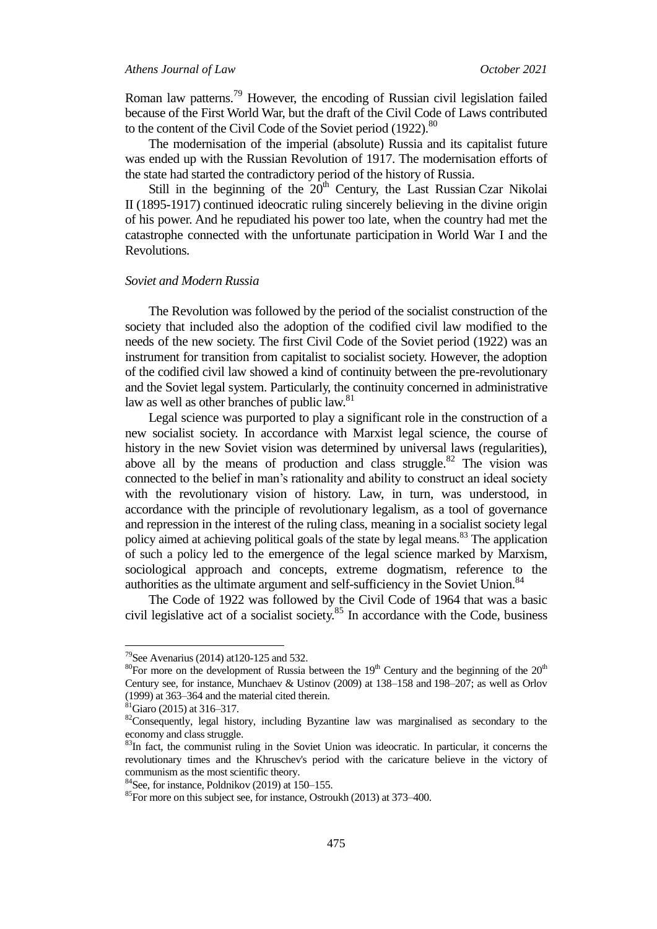#### *Athens Journal of Law October 2021*

Roman law patterns.<sup>79</sup> However, the encoding of Russian civil legislation failed because of the First World War, but the draft of the Civil Code of Laws contributed to the content of the Civil Code of the Soviet period (1922).<sup>80</sup>

The modernisation of the imperial (absolute) Russia and its capitalist future was ended up with the Russian Revolution of 1917. The modernisation efforts of the state had started the contradictory period of the history of Russia.

Still in the beginning of the  $20<sup>th</sup>$  Century, the Last Russian Czar Nikolai II (1895-1917) continued ideocratic ruling sincerely believing in the divine origin of his power. And he repudiated his power too late, when the country had met the catastrophe connected with the unfortunate participation in World War I and the Revolutions.

#### *Soviet and Modern Russia*

The Revolution was followed by the period of the socialist construction of the society that included also the adoption of the codified civil law modified to the needs of the new society. The first Civil Code of the Soviet period (1922) was an instrument for transition from capitalist to socialist society. However, the adoption of the codified civil law showed a kind of continuity between the pre-revolutionary and the Soviet legal system. Particularly, the continuity concerned in administrative law as well as other branches of public law.<sup>81</sup>

Legal science was purported to play a significant role in the construction of a new socialist society. In accordance with Marxist legal science, the course of history in the new Soviet vision was determined by universal laws (regularities), above all by the means of production and class struggle. $82$  The vision was connected to the belief in man's rationality and ability to construct an ideal society with the revolutionary vision of history. Law, in turn, was understood, in accordance with the principle of revolutionary legalism, as a tool of governance and repression in the interest of the ruling class, meaning in a socialist society legal policy aimed at achieving political goals of the state by legal means.<sup>83</sup> The application of such a policy led to the emergence of the legal science marked by Marxism, sociological approach and concepts, extreme dogmatism, reference to the authorities as the ultimate argument and self-sufficiency in the Soviet Union.<sup>84</sup>

The Code of 1922 was followed by the Civil Code of 1964 that was a basic civil legislative act of a socialist society. $85$  In accordance with the Code, business

<sup>&</sup>lt;sup>79</sup>See Avenarius (2014) at 120-125 and 532.

<sup>&</sup>lt;sup>80</sup>For more on the development of Russia between the 19<sup>th</sup> Century and the beginning of the  $20<sup>th</sup>$ Century see*,* for instance, Munchaev & Ustinov (2009) at 138–158 and 198–207; as well as Orlov (1999) at 363–364 and the material cited therein.

 $81$ Giaro (2015) at 316–317.

<sup>&</sup>lt;sup>82</sup>Consequently, legal history, including Byzantine law was marginalised as secondary to the economy and class struggle.

<sup>&</sup>lt;sup>83</sup>In fact, the communist ruling in the Soviet Union was ideocratic. In particular, it concerns the revolutionary times and the Khruschev's period with the caricature believe in the victory of communism as the most scientific theory.

 $84$ See, for instance, Poldnikov (2019) at 150–155.

<sup>85</sup>For more on this subject see, for instance, Ostroukh (2013) at 373–400.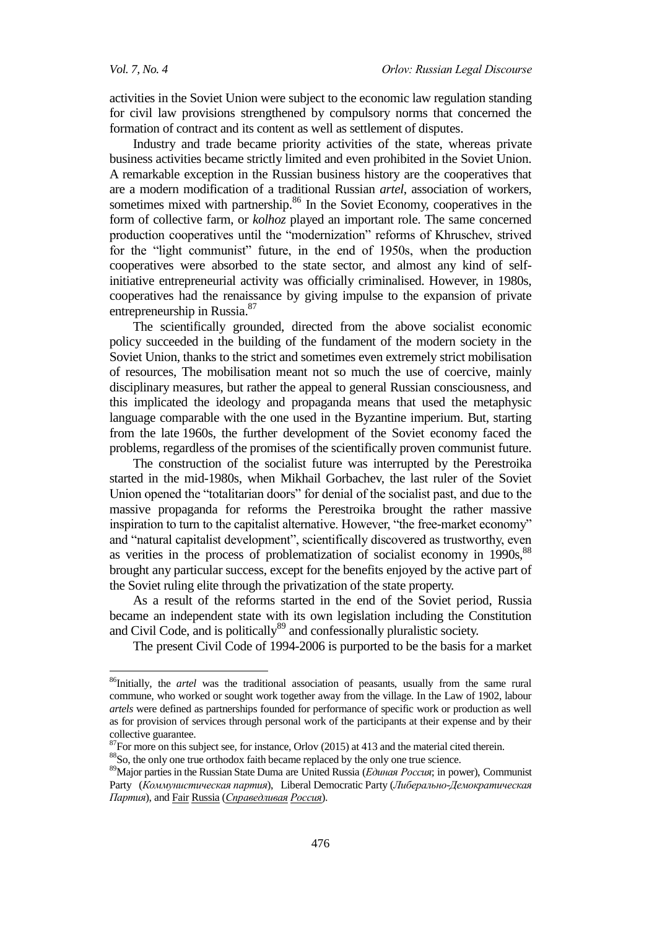1

activities in the Soviet Union were subject to the economic law regulation standing for civil law provisions strengthened by compulsory norms that concerned the formation of contract and its content as well as settlement of disputes.

Industry and trade became priority activities of the state, whereas private business activities became strictly limited and even prohibited in the Soviet Union. A remarkable exception in the Russian business history are the cooperatives that are a modern modification of a traditional Russian *artel*, association of workers, sometimes mixed with partnership.<sup>86</sup> In the Soviet Economy, cooperatives in the form of collective farm, or *kolhoz* played an important role. The same concerned production cooperatives until the "modernization" reforms of Khruschev, strived for the "light communist" future, in the end of 1950s, when the production cooperatives were absorbed to the state sector, and almost any kind of selfinitiative entrepreneurial activity was officially criminalised. However, in 1980s, cooperatives had the renaissance by giving impulse to the expansion of private entrepreneurship in Russia.<sup>87</sup>

The scientifically grounded, directed from the above socialist economic policy succeeded in the building of the fundament of the modern society in the Soviet Union, thanks to the strict and sometimes even extremely strict mobilisation of resources, The mobilisation meant not so much the use of coercive, mainly disciplinary measures, but rather the appeal to general Russian consciousness, and this implicated the ideology and propaganda means that used the metaphysic language comparable with the one used in the Byzantine imperium. But, starting from the late 1960s, the further development of the Soviet economy faced the problems, regardless of the promises of the scientifically proven communist future.

The construction of the socialist future was interrupted by the Perestroika started in the mid-1980s, when Mikhail Gorbachev, the last ruler of the Soviet Union opened the "totalitarian doors" for denial of the socialist past, and due to the massive propaganda for reforms the Perestroika brought the rather massive inspiration to turn to the capitalist alternative. However, "the free-market economy" and "natural capitalist development", scientifically discovered as trustworthy, even as verities in the process of problematization of socialist economy in 1990s,<sup>88</sup> brought any particular success, except for the benefits enjoyed by the active part of the Soviet ruling elite through the privatization of the state property.

As a result of the reforms started in the end of the Soviet period, Russia became an independent state with its own legislation including the Constitution and Civil Code, and is politically<sup>89</sup> and confessionally pluralistic society.

The present Civil Code of 1994-2006 is purported to be the basis for a market

<sup>&</sup>lt;sup>86</sup>Initially, the *artel* was the traditional association of peasants, usually from the same rural commune, who worked or sought work together away from the village. In the Law of 1902, labour *artels* were defined as partnerships founded for performance of specific work or production as well as for provision of services through personal work of the participants at their expense and by their collective guarantee.

 $87$  For more on this subject see, for instance, Orlov (2015) at 413 and the material cited therein.

<sup>88</sup>So, the only one true orthodox faith became replaced by the only one true science.

<sup>&</sup>lt;sup>89</sup>Major parties in the Russian State Duma are United Russia (*Единая Россия*; in power), Communist Party (*Коммунистическая партия*), Liberal Democratic Party (*Либерально*-*Демократическая Партия*), and Fair Russia (*Справедливая Россия*).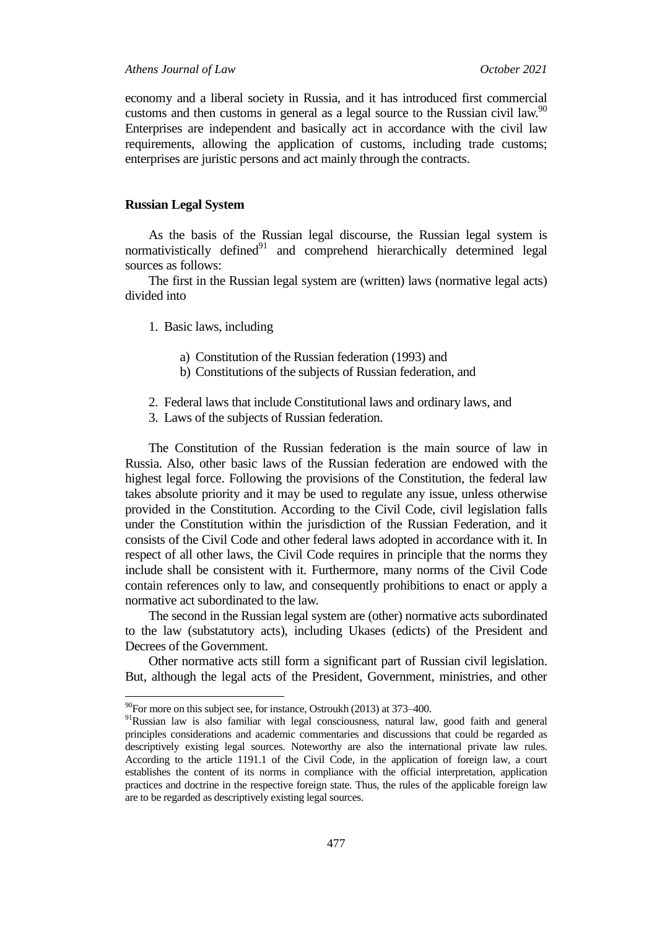economy and a liberal society in Russia, and it has introduced first commercial customs and then customs in general as a legal source to the Russian civil law.<sup>90</sup> Enterprises are independent and basically act in accordance with the civil law requirements, allowing the application of customs, including trade customs; enterprises are juristic persons and act mainly through the contracts.

### **Russian Legal System**

As the basis of the Russian legal discourse, the Russian legal system is normativistically defined $91$  and comprehend hierarchically determined legal sources as follows:

The first in the Russian legal system are (written) laws (normative legal acts) divided into

- 1. Basic laws, including
	- a) Constitution of the Russian federation (1993) and
	- b) Constitutions of the subjects of Russian federation, and
- 2. Federal laws that include Constitutional laws and ordinary laws, and
- 3. Laws of the subjects of Russian federation.

The Constitution of the Russian federation is the main source of law in Russia. Also, other basic laws of the Russian federation are endowed with the highest legal force. Following the provisions of the Constitution, the federal law takes absolute priority and it may be used to regulate any issue, unless otherwise provided in the Constitution. According to the Civil Code, civil legislation falls under the Constitution within the jurisdiction of the Russian Federation, and it consists of the Civil Code and other federal laws adopted in accordance with it. In respect of all other laws, the Civil Code requires in principle that the norms they include shall be consistent with it. Furthermore, many norms of the Civil Code contain references only to law, and consequently prohibitions to enact or apply a normative act subordinated to the law.

The second in the Russian legal system are (other) normative acts subordinated to the law (substatutory acts), including Ukases (edicts) of the President and Decrees of the Government.

Other normative acts still form a significant part of Russian civil legislation. But, although the legal acts of the President, Government, ministries, and other

 $\overline{\phantom{a}}$ 

 $^{90}$ For more on this subject see, for instance, Ostroukh (2013) at 373–400.

<sup>&</sup>lt;sup>91</sup>Russian law is also familiar with legal consciousness, natural law, good faith and general principles considerations and academic commentaries and discussions that could be regarded as descriptively existing legal sources. Noteworthy are also the international private law rules. According to the article 1191.1 of the Civil Code, in the application of foreign law, a court establishes the content of its norms in compliance with the official interpretation, application practices and doctrine in the respective foreign state. Thus, the rules of the applicable foreign law are to be regarded as descriptively existing legal sources.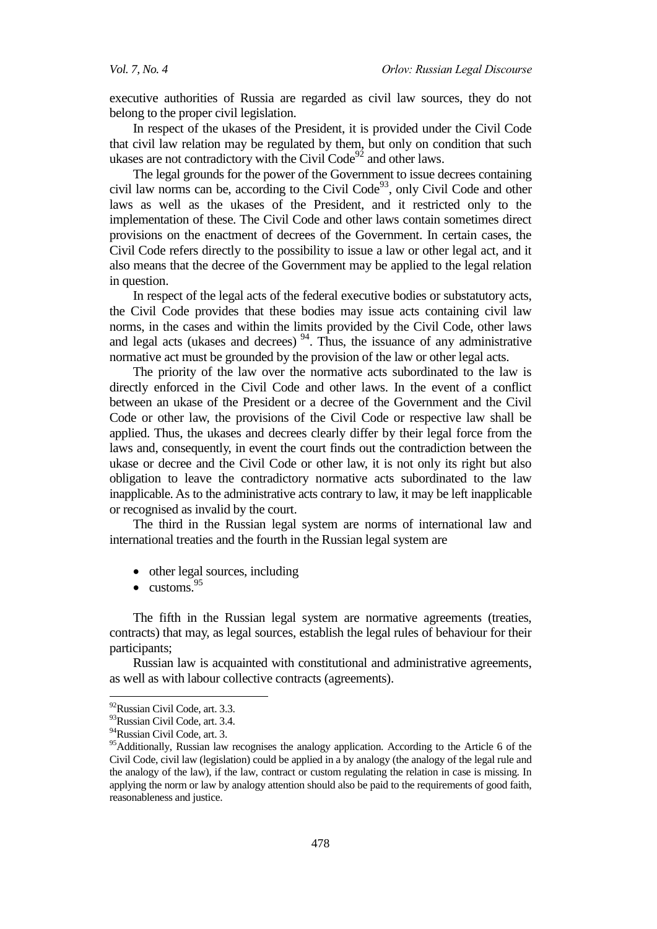executive authorities of Russia are regarded as civil law sources, they do not belong to the proper civil legislation.

In respect of the ukases of the President, it is provided under the Civil Code that civil law relation may be regulated by them, but only on condition that such ukases are not contradictory with the Civil  $Code^{92}$  and other laws.

The legal grounds for the power of the Government to issue decrees containing civil law norms can be, according to the Civil Code $93$ , only Civil Code and other laws as well as the ukases of the President, and it restricted only to the implementation of these. The Civil Code and other laws contain sometimes direct provisions on the enactment of decrees of the Government. In certain cases, the Civil Code refers directly to the possibility to issue a law or other legal act, and it also means that the decree of the Government may be applied to the legal relation in question.

In respect of the legal acts of the federal executive bodies or substatutory acts, the Civil Code provides that these bodies may issue acts containing civil law norms, in the cases and within the limits provided by the Civil Code, other laws and legal acts (ukases and decrees)  $94$ . Thus, the issuance of any administrative normative act must be grounded by the provision of the law or other legal acts.

The priority of the law over the normative acts subordinated to the law is directly enforced in the Civil Code and other laws. In the event of a conflict between an ukase of the President or a decree of the Government and the Civil Code or other law, the provisions of the Civil Code or respective law shall be applied. Thus, the ukases and decrees clearly differ by their legal force from the laws and, consequently, in event the court finds out the contradiction between the ukase or decree and the Civil Code or other law, it is not only its right but also obligation to leave the contradictory normative acts subordinated to the law inapplicable. As to the administrative acts contrary to law, it may be left inapplicable or recognised as invalid by the court.

The third in the Russian legal system are norms of international law and international treaties and the fourth in the Russian legal system are

- other legal sources, including
- $\bullet$  customs.  $95$

The fifth in the Russian legal system are normative agreements (treaties, contracts) that may, as legal sources, establish the legal rules of behaviour for their participants;

Russian law is acquainted with constitutional and administrative agreements, as well as with labour collective contracts (agreements).

<sup>&</sup>lt;sup>92</sup>Russian Civil Code, art. 3.3.

<sup>93</sup>Russian Civil Code, art. 3.4.

<sup>94</sup>Russian Civil Code, art. 3.

<sup>&</sup>lt;sup>95</sup>Additionally, Russian law recognises the analogy application. According to the Article 6 of the Civil Code, civil law (legislation) could be applied in a by analogy (the analogy of the legal rule and the analogy of the law), if the law, contract or custom regulating the relation in case is missing. In applying the norm or law by analogy attention should also be paid to the requirements of good faith, reasonableness and justice.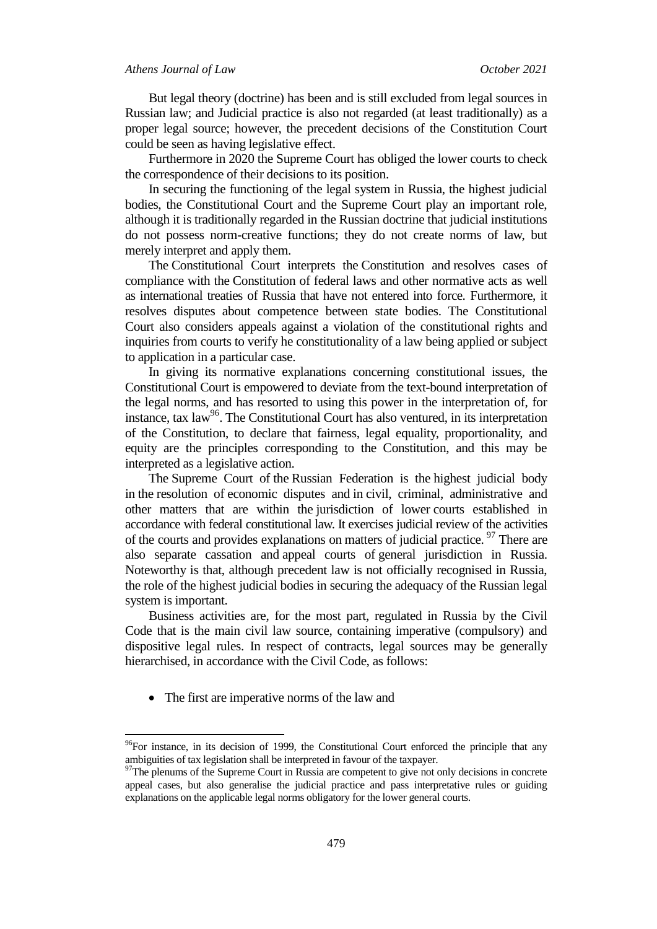But legal theory (doctrine) has been and is still excluded from legal sources in Russian law; and Judicial practice is also not regarded (at least traditionally) as a proper legal source; however, the precedent decisions of the Constitution Court could be seen as having legislative effect.

Furthermore in 2020 the Supreme Court has obliged the lower courts to check the correspondence of their decisions to its position.

In securing the functioning of the legal system in Russia, the highest judicial bodies, the Constitutional Court and the Supreme Court play an important role, although it is traditionally regarded in the Russian doctrine that judicial institutions do not possess norm-creative functions; they do not create norms of law, but merely interpret and apply them.

The Constitutional Court interprets the Constitution and resolves cases of compliance with the Constitution of federal laws and other normative acts as well as international treaties of Russia that have not entered into force. Furthermore, it resolves disputes about competence between state bodies. The Constitutional Court also considers appeals against a violation of the constitutional rights and inquiries from courts to verify he constitutionality of a law being applied or subject to application in a particular case.

In giving its normative explanations concerning constitutional issues, the Constitutional Court is empowered to deviate from the text-bound interpretation of the legal norms, and has resorted to using this power in the interpretation of, for instance, tax  $law^{96}$ . The Constitutional Court has also ventured, in its interpretation of the Constitution, to declare that fairness, legal equality, proportionality, and equity are the principles corresponding to the Constitution, and this may be interpreted as a legislative action.

The Supreme Court of the Russian Federation is the highest judicial body in the resolution of economic disputes and in civil, criminal, administrative and other matters that are within the jurisdiction of lower courts established in accordance with federal constitutional law. It exercises judicial review of the activities of the courts and provides explanations on matters of judicial practice.<sup>97</sup> There are also separate cassation and appeal courts of general jurisdiction in Russia. Noteworthy is that, although precedent law is not officially recognised in Russia, the role of the highest judicial bodies in securing the adequacy of the Russian legal system is important.

Business activities are, for the most part, regulated in Russia by the Civil Code that is the main civil law source, containing imperative (compulsory) and dispositive legal rules. In respect of contracts, legal sources may be generally hierarchised, in accordance with the Civil Code, as follows:

• The first are imperative norms of the law and

 $96$ For instance, in its decision of 1999, the Constitutional Court enforced the principle that any ambiguities of tax legislation shall be interpreted in favour of the taxpayer.

<sup>&</sup>lt;sup>97</sup>The plenums of the Supreme Court in Russia are competent to give not only decisions in concrete appeal cases, but also generalise the judicial practice and pass interpretative rules or guiding explanations on the applicable legal norms obligatory for the lower general courts.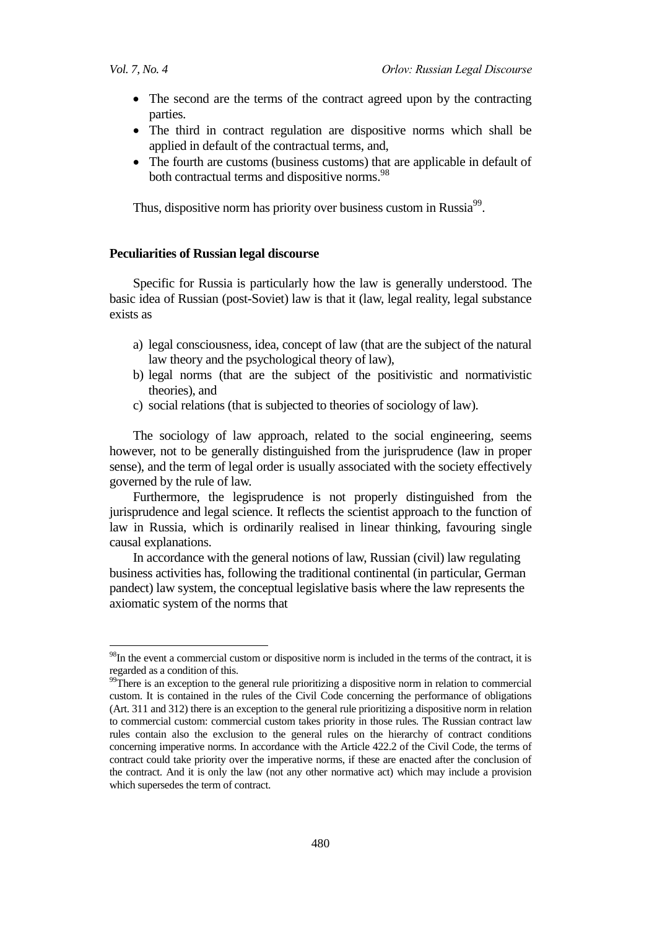1

- The second are the terms of the contract agreed upon by the contracting parties.
- The third in contract regulation are dispositive norms which shall be applied in default of the contractual terms, and,
- The fourth are customs (business customs) that are applicable in default of both contractual terms and dispositive norms.<sup>98</sup>

Thus, dispositive norm has priority over business custom in Russia<sup>99</sup>.

### **Peculiarities of Russian legal discourse**

Specific for Russia is particularly how the law is generally understood. The basic idea of Russian (post-Soviet) law is that it (law, legal reality, legal substance exists as

- a) legal consciousness, idea, concept of law (that are the subject of the natural law theory and the psychological theory of law),
- b) legal norms (that are the subject of the positivistic and normativistic theories), and
- c) social relations (that is subjected to theories of sociology of law).

The sociology of law approach, related to the social engineering, seems however, not to be generally distinguished from the jurisprudence (law in proper sense), and the term of legal order is usually associated with the society effectively governed by the rule of law.

Furthermore, the legisprudence is not properly distinguished from the jurisprudence and legal science. It reflects the scientist approach to the function of law in Russia, which is ordinarily realised in linear thinking, favouring single causal explanations.

In accordance with the general notions of law, Russian (civil) law regulating business activities has, following the traditional continental (in particular, German pandect) law system, the conceptual legislative basis where the law represents the axiomatic system of the norms that

<sup>&</sup>lt;sup>98</sup>In the event a commercial custom or dispositive norm is included in the terms of the contract, it is regarded as a condition of this.

<sup>&</sup>lt;sup>99</sup>There is an exception to the general rule prioritizing a dispositive norm in relation to commercial custom. It is contained in the rules of the Civil Code concerning the performance of obligations (Art. 311 and 312) there is an exception to the general rule prioritizing a dispositive norm in relation to commercial custom: commercial custom takes priority in those rules. The Russian contract law rules contain also the exclusion to the general rules on the hierarchy of contract conditions concerning imperative norms. In accordance with the Article 422.2 of the Civil Code, the terms of contract could take priority over the imperative norms, if these are enacted after the conclusion of the contract. And it is only the law (not any other normative act) which may include a provision which supersedes the term of contract.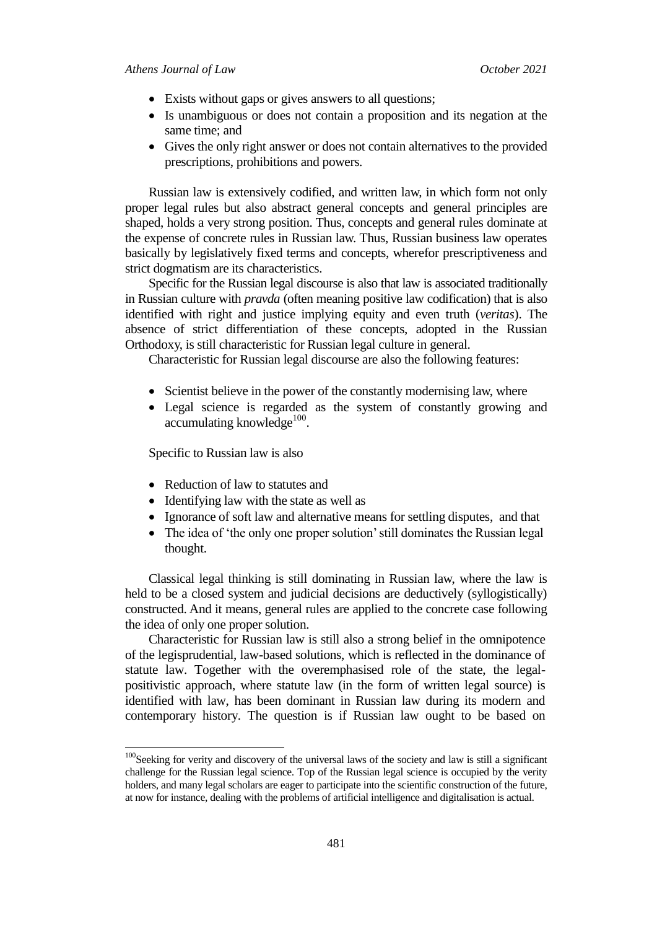- Exists without gaps or gives answers to all questions;
- Is unambiguous or does not contain a proposition and its negation at the same time; and
- Gives the only right answer or does not contain alternatives to the provided prescriptions, prohibitions and powers.

Russian law is extensively codified, and written law, in which form not only proper legal rules but also abstract general concepts and general principles are shaped, holds a very strong position. Thus, concepts and general rules dominate at the expense of concrete rules in Russian law. Thus, Russian business law operates basically by legislatively fixed terms and concepts, wherefor prescriptiveness and strict dogmatism are its characteristics.

Specific for the Russian legal discourse is also that law is associated traditionally in Russian culture with *pravda* (often meaning positive law codification) that is also identified with right and justice implying equity and even truth (*veritas*). The absence of strict differentiation of these concepts, adopted in the Russian Orthodoxy, is still characteristic for Russian legal culture in general.

Characteristic for Russian legal discourse are also the following features:

- Scientist believe in the power of the constantly modernising law, where
- Legal science is regarded as the system of constantly growing and accumulating knowledge<sup>100</sup>.

Specific to Russian law is also

 $\overline{a}$ 

- Reduction of law to statutes and
- Identifying law with the state as well as
- Ignorance of soft law and alternative means for settling disputes, and that
- The idea of 'the only one proper solution' still dominates the Russian legal thought.

Classical legal thinking is still dominating in Russian law, where the law is held to be a closed system and judicial decisions are deductively (syllogistically) constructed. And it means, general rules are applied to the concrete case following the idea of only one proper solution.

Characteristic for Russian law is still also a strong belief in the omnipotence of the legisprudential, law-based solutions, which is reflected in the dominance of statute law. Together with the overemphasised role of the state, the legalpositivistic approach, where statute law (in the form of written legal source) is identified with law, has been dominant in Russian law during its modern and contemporary history. The question is if Russian law ought to be based on

<sup>&</sup>lt;sup>100</sup>Seeking for verity and discovery of the universal laws of the society and law is still a significant challenge for the Russian legal science. Top of the Russian legal science is occupied by the verity holders, and many legal scholars are eager to participate into the scientific construction of the future, at now for instance, dealing with the problems of artificial intelligence and digitalisation is actual.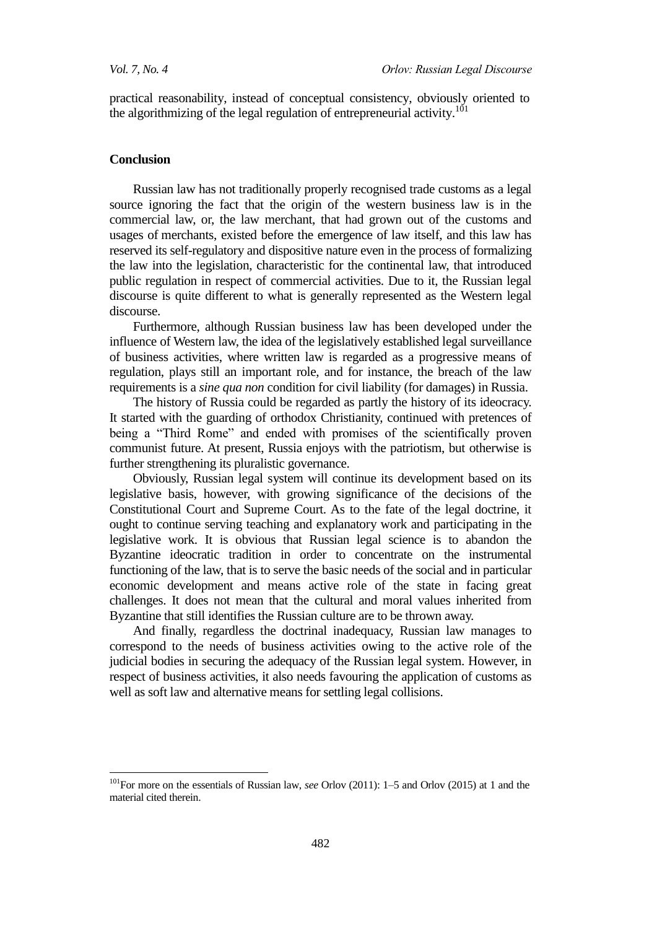practical reasonability, instead of conceptual consistency, obviously oriented to the algorithmizing of the legal regulation of entrepreneurial activity.<sup>101</sup>

#### **Conclusion**

 $\overline{a}$ 

Russian law has not traditionally properly recognised trade customs as a legal source ignoring the fact that the origin of the western business law is in the commercial law, or, the law merchant, that had grown out of the customs and usages of merchants, existed before the emergence of law itself, and this law has reserved its self-regulatory and dispositive nature even in the process of formalizing the law into the legislation, characteristic for the continental law, that introduced public regulation in respect of commercial activities. Due to it, the Russian legal discourse is quite different to what is generally represented as the Western legal discourse.

Furthermore, although Russian business law has been developed under the influence of Western law, the idea of the legislatively established legal surveillance of business activities, where written law is regarded as a progressive means of regulation, plays still an important role, and for instance, the breach of the law requirements is a *sine qua non* condition for civil liability (for damages) in Russia.

The history of Russia could be regarded as partly the history of its ideocracy. It started with the guarding of orthodox Christianity, continued with pretences of being a "Third Rome" and ended with promises of the scientifically proven communist future. At present, Russia enjoys with the patriotism, but otherwise is further strengthening its pluralistic governance.

Obviously, Russian legal system will continue its development based on its legislative basis, however, with growing significance of the decisions of the Constitutional Court and Supreme Court. As to the fate of the legal doctrine, it ought to continue serving teaching and explanatory work and participating in the legislative work. It is obvious that Russian legal science is to abandon the Byzantine ideocratic tradition in order to concentrate on the instrumental functioning of the law, that is to serve the basic needs of the social and in particular economic development and means active role of the state in facing great challenges. It does not mean that the cultural and moral values inherited from Byzantine that still identifies the Russian culture are to be thrown away.

And finally, regardless the doctrinal inadequacy, Russian law manages to correspond to the needs of business activities owing to the active role of the judicial bodies in securing the adequacy of the Russian legal system. However, in respect of business activities, it also needs favouring the application of customs as well as soft law and alternative means for settling legal collisions.

<sup>101</sup>For more on the essentials of Russian law, *see* Orlov (2011): 1–5 and Orlov (2015) at 1 and the material cited therein.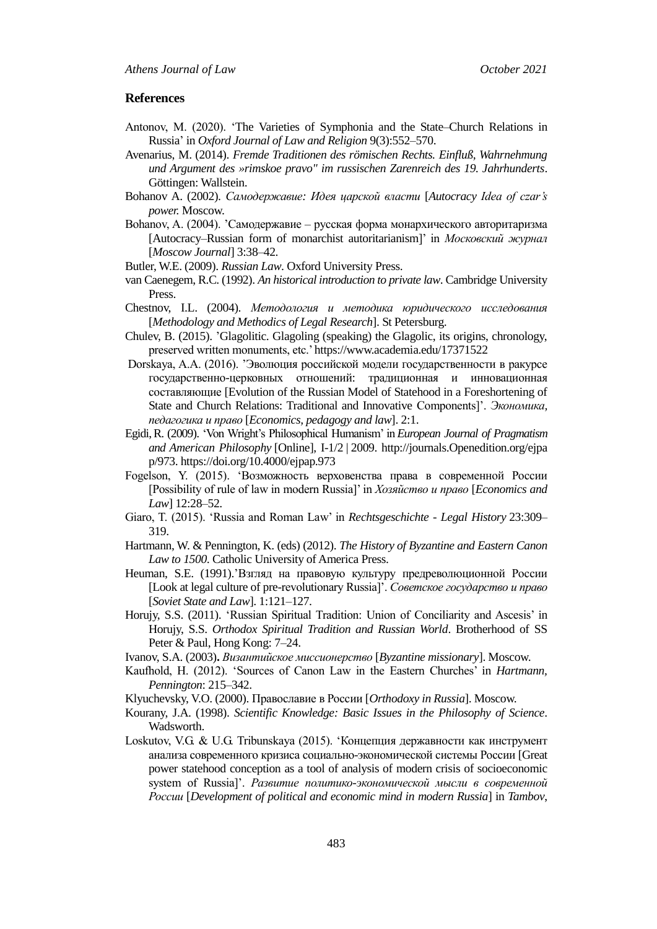#### **References**

- Antonov, M. (2020). [‗The Varieties of Symphonia and the State–Church Relations in](https://www.researchgate.net/publication/348819891_The_Varieties_of_Symphonia_and_the_State-Church_Relations_in_Russia)  [Russia'](https://www.researchgate.net/publication/348819891_The_Varieties_of_Symphonia_and_the_State-Church_Relations_in_Russia) in *Oxford Journal of Law and Religion* 9(3):552–570.
- Avenarius, M. (2014). *Fremde Traditionen des römischen Rechts. Einfluß, Wahrnehmung und Argument des »rimskoe pravo" im russischen Zarenreich des 19. Jahrhunderts*. Göttingen: Wallstein.
- Bohanov A. (2002). *Самодержавие: Идея царской власти* [*Autocracy Idea of czar's power.* Moscow.
- Bohanov, A. (2004). 'Самодержавие русская форма монархического авторитаризма [Autocracy–Russian form of monarchist autoritarianism]' in *Московский журнал* [*Moscow Journal*] 3:38–42.
- Butler, W.E. (2009). *Russian Law*. Oxford University Press.
- van Caenegem, R.C. (1992). *An historical introduction to private law*. Cambridge University Press.
- Chestnov, I.L. (2004). *Методология и методика юридического исследования* [*Methodology and Methodics of Legal Research*]. St Petersburg.
- Chulev, B. (2015). 'Glagolitic. Glagoling (speaking) the Glagolic, its origins, chronology, preserved written monuments, etc.[' https://www.academia.edu/17371522](https://www.academia.edu/17371522)
- Dorskaya, A.A. (2016). 'Эволюция российской модели государственности в ракурсе государственно-церковных отношений: традиционная и инновационная составляющие [Evolution of the Russian Model of Statehood in a Foreshortening of State and Church Relations: Traditional and Innovative Components]'. *Экономика, педагогика и право* [*Economics, pedagogy and law*]. 2:1.
- Egidi,R. (2009). ‗Von Wright's Philosophical Humanism' in *European Journal of Pragmatism and American Philosophy* [Online], I-1/2 | 2009. http://journals.Openedition.org/ejpa p/973. https://doi.org/10.4000/ejpap.973
- Fogelson, Y. (2015). ‗Возможность верховенства права в современной России [Possibility of rule of law in modern Russia]' in *Хозяйство и право* [*Economics and Law*] 12:28–52.
- Giaro, T. (2015). ‗Russia and Roman Law' in *[Rechtsgeschichte -](https://www.researchgate.net/journal/Rechtsgeschichte-Legal-History-1619-4993) Legal History* 23:309– 319.
- Hartmann, W. & Pennington, K. (eds) (2012). *The History of Byzantine and Eastern Canon Law to 1500*. Catholic University of America Press.
- Heuman, S.E. (1991).'Взгляд на правовую культуру предреволюционной России [Look at legal culture of pre-revolutionary Russia]'. *[Советское государство и право](https://unis.shpl.ru/Pages/Search/BookInfo.aspx?Id=1324848)* [*Soviet State and Law*]. 1:121–127.
- Horujy, S.S. (2011). ‗Russian Spiritual Tradition: Union of Conciliarity and Ascesis' in Horujy, S.S. *Orthodox Spiritual Tradition and Russian World*. Brotherhood of SS Peter & Paul, Hong Kong: 7–24.
- Ivanov, S.A. (2003)**.** *Византийское миссионерство* [*Byzantine missionary*]. Moscow.
- Kaufhold, H. (2012). ‗Sources of Canon Law in the Eastern Churches' in *Hartmann, Pennington*: 215–342.
- Klyuchevsky, V.O. (2000). Православие в России [*Orthodoxy in Russia*]. Moscow.
- Kourany, J.A. (1998). *Scientific Knowledge: Basic Issues in the Philosophy of Science*. Wadsworth.
- Loskutov, V.G. & U.G. Tribunskaya (2015). 'Концепция державности как инструмент анализа современного кризиса социально-экономической системы России [Great power statehood conception as a tool of analysis of modern crisis of socioeconomic system of Russia]'. *Развитие политико-экономической мысли в современной России* [*Development of political and economic mind in modern Russia*] in *Tambov*,